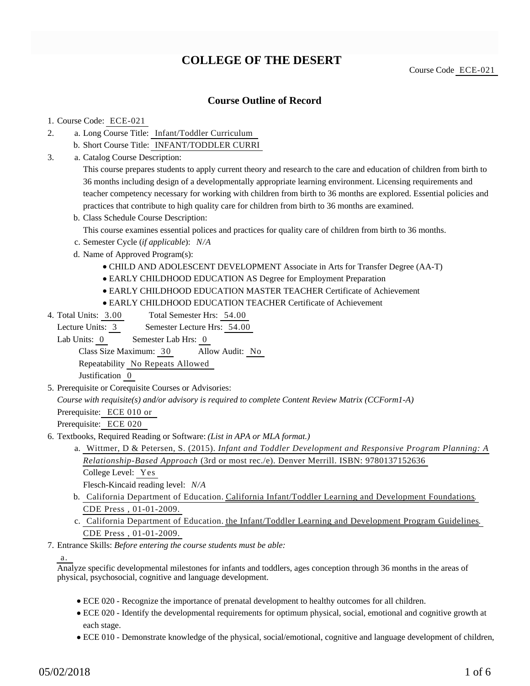## **COLLEGE OF THE DESERT**

Course Code ECE-021

### **Course Outline of Record**

#### 1. Course Code: ECE-021

- a. Long Course Title: Infant/Toddler Curriculum 2.
	- b. Short Course Title: INFANT/TODDLER CURRI
- Catalog Course Description: a. 3.

This course prepares students to apply current theory and research to the care and education of children from birth to 36 months including design of a developmentally appropriate learning environment. Licensing requirements and teacher competency necessary for working with children from birth to 36 months are explored. Essential policies and practices that contribute to high quality care for children from birth to 36 months are examined.

b. Class Schedule Course Description:

This course examines essential polices and practices for quality care of children from birth to 36 months.

- c. Semester Cycle (*if applicable*): *N/A*
- d. Name of Approved Program(s):
	- CHILD AND ADOLESCENT DEVELOPMENT Associate in Arts for Transfer Degree (AA-T)
	- EARLY CHILDHOOD EDUCATION AS Degree for Employment Preparation
	- EARLY CHILDHOOD EDUCATION MASTER TEACHER Certificate of Achievement
	- EARLY CHILDHOOD EDUCATION TEACHER Certificate of Achievement
- Total Semester Hrs: 54.00 4. Total Units: 3.00

Lecture Units: 3 Semester Lecture Hrs: 54.00

Lab Units: 0 Semester Lab Hrs: 0

Class Size Maximum: 30 Allow Audit: No

Repeatability No Repeats Allowed

Justification 0

5. Prerequisite or Corequisite Courses or Advisories:

*Course with requisite(s) and/or advisory is required to complete Content Review Matrix (CCForm1-A)*

Prerequisite: ECE 010 or

Prerequisite: ECE 020

- 6. Textbooks, Required Reading or Software: (List in APA or MLA format.)
	- Wittmer, D & Petersen, S. (2015). *Infant and Toddler Development and Responsive Program Planning: A* a. *Relationship-Based Approach* (3rd or most rec./e). Denver Merrill. ISBN: 9780137152636 College Level: Yes

Flesch-Kincaid reading level: *N/A*

- b. California Department of Education. California Infant/Toddler Learning and Development Foundations. CDE Press , 01-01-2009.
- c. California Department of Education. the Infant/Toddler Learning and Development Program Guidelines. CDE Press , 01-01-2009.
- Entrance Skills: *Before entering the course students must be able:* 7.

a.

Analyze specific developmental milestones for infants and toddlers, ages conception through 36 months in the areas of physical, psychosocial, cognitive and language development.

- ECE 020 Recognize the importance of prenatal development to healthy outcomes for all children.
- ECE 020 Identify the developmental requirements for optimum physical, social, emotional and cognitive growth at each stage.
- ECE 010 Demonstrate knowledge of the physical, social/emotional, cognitive and language development of children,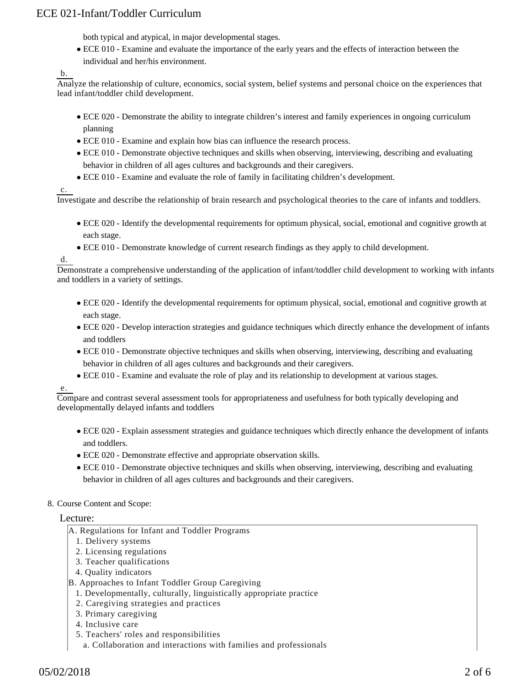both typical and atypical, in major developmental stages.

ECE 010 - Examine and evaluate the importance of the early years and the effects of interaction between the individual and her/his environment.

b.

Analyze the relationship of culture, economics, social system, belief systems and personal choice on the experiences that lead infant/toddler child development.

- ECE 020 Demonstrate the ability to integrate children's interest and family experiences in ongoing curriculum planning
- ECE 010 Examine and explain how bias can influence the research process.
- ECE 010 Demonstrate objective techniques and skills when observing, interviewing, describing and evaluating behavior in children of all ages cultures and backgrounds and their caregivers.
- ECE 010 Examine and evaluate the role of family in facilitating children's development.

c.

Investigate and describe the relationship of brain research and psychological theories to the care of infants and toddlers.

- ECE 020 Identify the developmental requirements for optimum physical, social, emotional and cognitive growth at each stage.
- ECE 010 Demonstrate knowledge of current research findings as they apply to child development.

d.

Demonstrate a comprehensive understanding of the application of infant/toddler child development to working with infants and toddlers in a variety of settings.

- ECE 020 Identify the developmental requirements for optimum physical, social, emotional and cognitive growth at each stage.
- ECE 020 Develop interaction strategies and guidance techniques which directly enhance the development of infants and toddlers
- ECE 010 Demonstrate objective techniques and skills when observing, interviewing, describing and evaluating behavior in children of all ages cultures and backgrounds and their caregivers.
- ECE 010 Examine and evaluate the role of play and its relationship to development at various stages.

e.

Compare and contrast several assessment tools for appropriateness and usefulness for both typically developing and developmentally delayed infants and toddlers

- ECE 020 Explain assessment strategies and guidance techniques which directly enhance the development of infants and toddlers.
- ECE 020 Demonstrate effective and appropriate observation skills.
- ECE 010 Demonstrate objective techniques and skills when observing, interviewing, describing and evaluating behavior in children of all ages cultures and backgrounds and their caregivers.
- 8. Course Content and Scope:

#### Lecture:

- A. Regulations for Infant and Toddler Programs
	- 1. Delivery systems
	- 2. Licensing regulations
	- 3. Teacher qualifications
	- 4. Quality indicators
- B. Approaches to Infant Toddler Group Caregiving
- 1. Developmentally, culturally, linguistically appropriate practice
- 2. Caregiving strategies and practices
- 3. Primary caregiving
- 4. Inclusive care
- 5. Teachers' roles and responsibilities
	- a. Collaboration and interactions with families and professionals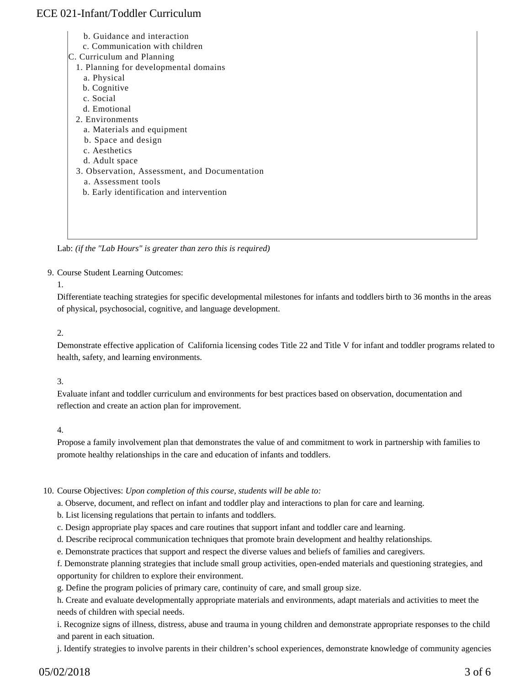- b. Guidance and interaction
- c. Communication with children
- C. Curriculum and Planning
- 1. Planning for developmental domains
- a. Physical
- b. Cognitive
- c. Social
- d. Emotional
- 2. Environments
	- a. Materials and equipment
	- b. Space and design
	- c. Aesthetics
	- d. Adult space
- 3. Observation, Assessment, and Documentation
	- a. Assessment tools
	- b. Early identification and intervention

Lab: *(if the "Lab Hours" is greater than zero this is required)*

#### 9. Course Student Learning Outcomes:

1.

Differentiate teaching strategies for specific developmental milestones for infants and toddlers birth to 36 months in the areas of physical, psychosocial, cognitive, and language development.

#### 2.

Demonstrate effective application of California licensing codes Title 22 and Title V for infant and toddler programs related to health, safety, and learning environments.

#### 3.

Evaluate infant and toddler curriculum and environments for best practices based on observation, documentation and reflection and create an action plan for improvement.

#### 4.

Propose a family involvement plan that demonstrates the value of and commitment to work in partnership with families to promote healthy relationships in the care and education of infants and toddlers.

#### 10. Course Objectives: Upon completion of this course, students will be able to:

a. Observe, document, and reflect on infant and toddler play and interactions to plan for care and learning.

b. List licensing regulations that pertain to infants and toddlers.

c. Design appropriate play spaces and care routines that support infant and toddler care and learning.

- d. Describe reciprocal communication techniques that promote brain development and healthy relationships.
- e. Demonstrate practices that support and respect the diverse values and beliefs of families and caregivers.

f. Demonstrate planning strategies that include small group activities, open-ended materials and questioning strategies, and opportunity for children to explore their environment.

g. Define the program policies of primary care, continuity of care, and small group size.

h. Create and evaluate developmentally appropriate materials and environments, adapt materials and activities to meet the needs of children with special needs.

i. Recognize signs of illness, distress, abuse and trauma in young children and demonstrate appropriate responses to the child and parent in each situation.

j. Identify strategies to involve parents in their children's school experiences, demonstrate knowledge of community agencies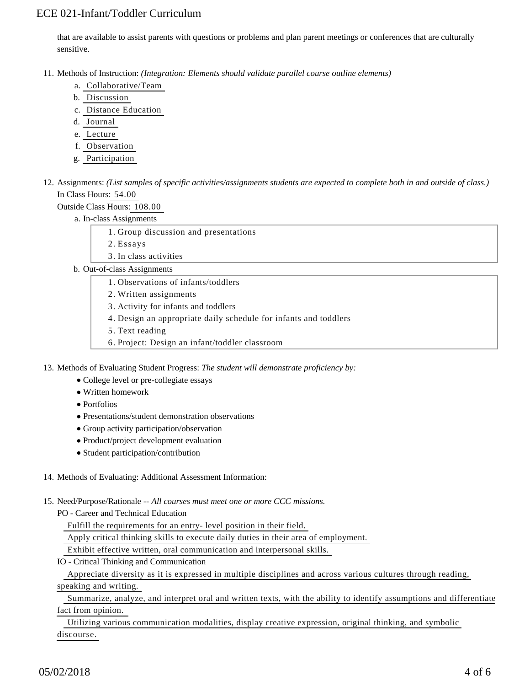that are available to assist parents with questions or problems and plan parent meetings or conferences that are culturally sensitive.

- 11. Methods of Instruction: *(Integration: Elements should validate parallel course outline elements)* 
	- a. Collaborative/Team
	- b. Discussion
	- c. Distance Education
	- d. Journal
	- e. Lecture
	- f. Observation
	- g. Participation

12. Assignments: (List samples of specific activities/assignments students are expected to complete both in and outside of class.) In Class Hours: 54.00

Outside Class Hours: 108.00

a. In-class Assignments

- 1. Group discussion and presentations
- 2. Essays
- 3. In class activities
- b. Out-of-class Assignments
	- 1. Observations of infants/toddlers
	- 2. Written assignments
	- 3. Activity for infants and toddlers
	- 4. Design an appropriate daily schedule for infants and toddlers
	- 5. Text reading
	- 6. Project: Design an infant/toddler classroom

13. Methods of Evaluating Student Progress: The student will demonstrate proficiency by:

- College level or pre-collegiate essays
- Written homework
- Portfolios
- Presentations/student demonstration observations
- Group activity participation/observation
- Product/project development evaluation
- Student participation/contribution
- 14. Methods of Evaluating: Additional Assessment Information:

15. Need/Purpose/Rationale -- All courses must meet one or more CCC missions.

PO - Career and Technical Education

Fulfill the requirements for an entry- level position in their field.

Apply critical thinking skills to execute daily duties in their area of employment.

Exhibit effective written, oral communication and interpersonal skills.

IO - Critical Thinking and Communication

Appreciate diversity as it is expressed in multiple disciplines and across various cultures through reading,

### speaking and writing.

 Summarize, analyze, and interpret oral and written texts, with the ability to identify assumptions and differentiate fact from opinion.

 Utilizing various communication modalities, display creative expression, original thinking, and symbolic discourse.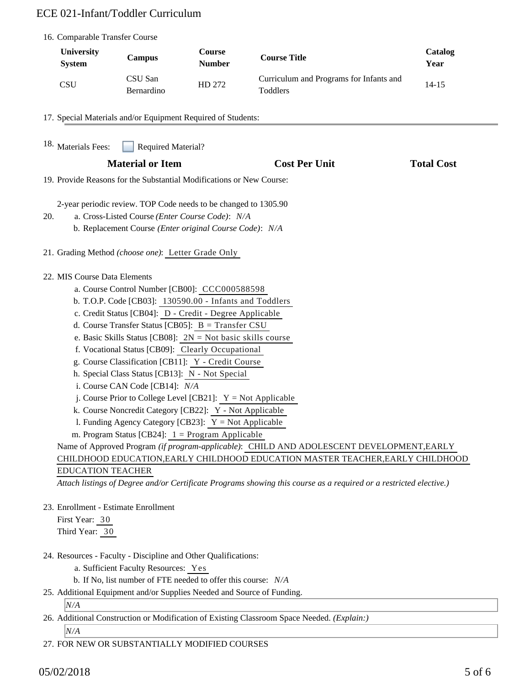| 16. Comparable Transfer Course                                                                                                                                                                                                                                                                                                                                                                                                                                                                                                                                                                                                                                                                                                                                                                                                                                                                                                                                                                                                                                                                           |                           |                                |                                                     |                   |
|----------------------------------------------------------------------------------------------------------------------------------------------------------------------------------------------------------------------------------------------------------------------------------------------------------------------------------------------------------------------------------------------------------------------------------------------------------------------------------------------------------------------------------------------------------------------------------------------------------------------------------------------------------------------------------------------------------------------------------------------------------------------------------------------------------------------------------------------------------------------------------------------------------------------------------------------------------------------------------------------------------------------------------------------------------------------------------------------------------|---------------------------|--------------------------------|-----------------------------------------------------|-------------------|
| <b>University</b><br><b>System</b>                                                                                                                                                                                                                                                                                                                                                                                                                                                                                                                                                                                                                                                                                                                                                                                                                                                                                                                                                                                                                                                                       | <b>Campus</b>             | <b>Course</b><br><b>Number</b> | <b>Course Title</b>                                 | Catalog<br>Year   |
| <b>CSU</b>                                                                                                                                                                                                                                                                                                                                                                                                                                                                                                                                                                                                                                                                                                                                                                                                                                                                                                                                                                                                                                                                                               | CSU San<br>Bernardino     | HD 272                         | Curriculum and Programs for Infants and<br>Toddlers | $14 - 15$         |
| 17. Special Materials and/or Equipment Required of Students:                                                                                                                                                                                                                                                                                                                                                                                                                                                                                                                                                                                                                                                                                                                                                                                                                                                                                                                                                                                                                                             |                           |                                |                                                     |                   |
| 18. Materials Fees:                                                                                                                                                                                                                                                                                                                                                                                                                                                                                                                                                                                                                                                                                                                                                                                                                                                                                                                                                                                                                                                                                      | <b>Required Material?</b> |                                |                                                     |                   |
|                                                                                                                                                                                                                                                                                                                                                                                                                                                                                                                                                                                                                                                                                                                                                                                                                                                                                                                                                                                                                                                                                                          | <b>Material or Item</b>   |                                | <b>Cost Per Unit</b>                                | <b>Total Cost</b> |
| 19. Provide Reasons for the Substantial Modifications or New Course:                                                                                                                                                                                                                                                                                                                                                                                                                                                                                                                                                                                                                                                                                                                                                                                                                                                                                                                                                                                                                                     |                           |                                |                                                     |                   |
| 2-year periodic review. TOP Code needs to be changed to 1305.90<br>a. Cross-Listed Course (Enter Course Code): N/A<br>20.<br>b. Replacement Course (Enter original Course Code): N/A                                                                                                                                                                                                                                                                                                                                                                                                                                                                                                                                                                                                                                                                                                                                                                                                                                                                                                                     |                           |                                |                                                     |                   |
| 21. Grading Method (choose one): Letter Grade Only                                                                                                                                                                                                                                                                                                                                                                                                                                                                                                                                                                                                                                                                                                                                                                                                                                                                                                                                                                                                                                                       |                           |                                |                                                     |                   |
| 22. MIS Course Data Elements<br>a. Course Control Number [CB00]: CCC000588598<br>b. T.O.P. Code [CB03]: 130590.00 - Infants and Toddlers<br>c. Credit Status [CB04]: D - Credit - Degree Applicable<br>d. Course Transfer Status [CB05]: B = Transfer CSU<br>e. Basic Skills Status [CB08]: $2N = Not basic skills course$<br>f. Vocational Status [CB09]: Clearly Occupational<br>g. Course Classification [CB11]: Y - Credit Course<br>h. Special Class Status [CB13]: N - Not Special<br>i. Course CAN Code [CB14]: N/A<br>j. Course Prior to College Level [CB21]: $Y = Not$ Applicable<br>k. Course Noncredit Category [CB22]: Y - Not Applicable<br>1. Funding Agency Category [CB23]: $Y = Not$ Applicable<br>m. Program Status [CB24]: $1 =$ Program Applicable<br>Name of Approved Program (if program-applicable): CHILD AND ADOLESCENT DEVELOPMENT, EARLY<br>CHILDHOOD EDUCATION, EARLY CHILDHOOD EDUCATION MASTER TEACHER, EARLY CHILDHOOD<br><b>EDUCATION TEACHER</b><br>Attach listings of Degree and/or Certificate Programs showing this course as a required or a restricted elective.) |                           |                                |                                                     |                   |
| 23. Enrollment - Estimate Enrollment<br>First Year: 30<br>Third Year: 30                                                                                                                                                                                                                                                                                                                                                                                                                                                                                                                                                                                                                                                                                                                                                                                                                                                                                                                                                                                                                                 |                           |                                |                                                     |                   |
| 24. Resources - Faculty - Discipline and Other Qualifications:<br>a. Sufficient Faculty Resources: Yes<br>b. If No, list number of FTE needed to offer this course: N/A<br>25. Additional Equipment and/or Supplies Needed and Source of Funding.                                                                                                                                                                                                                                                                                                                                                                                                                                                                                                                                                                                                                                                                                                                                                                                                                                                        |                           |                                |                                                     |                   |

#### *N/A*

26. Additional Construction or Modification of Existing Classroom Space Needed. *(Explain:)* 

*N/A*

27. FOR NEW OR SUBSTANTIALLY MODIFIED COURSES